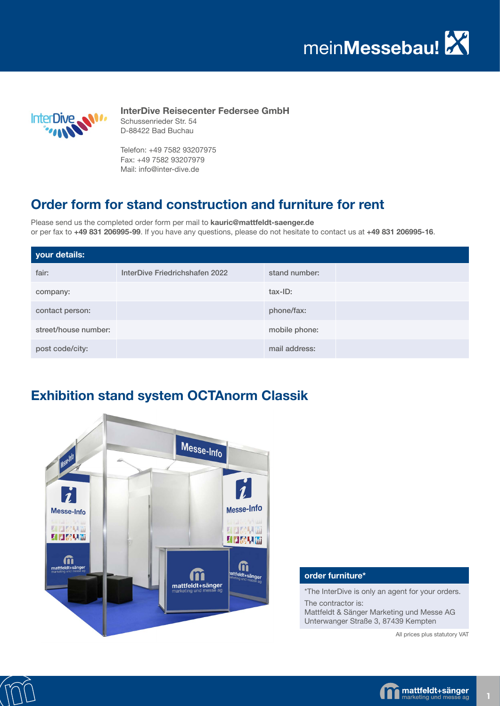

**InterDive Reisecenter Federsee GmbH** Schussenrieder Str. 54 D-88422 Bad Buchau

Telefon: +49 7582 93207975 Fax: +49 7582 93207979 Mail: info@inter-dive.de

#### **Order form for stand construction and furniture for rent**

Please send us the completed order form per mail to **kauric@mattfeldt-saenger.de** or per fax to **+49 831 206995-99**. If you have any questions, please do not hesitate to contact us at **+49 831 206995-16**.

| your details:        |                                |               |  |
|----------------------|--------------------------------|---------------|--|
| fair:                | InterDive Friedrichshafen 2022 | stand number: |  |
| company:             |                                | tax-ID:       |  |
| contact person:      |                                | phone/fax:    |  |
| street/house number: |                                | mobile phone: |  |
| post code/city:      |                                | mail address: |  |

## **Exhibition stand system OCTAnorm Classik**



#### **order furniture\***

\*The InterDive is only an agent for your orders.

The contractor is: Mattfeldt & Sänger Marketing und Messe AG Unterwanger Straße 3, 87439 Kempten

All prices plus statutory VAT



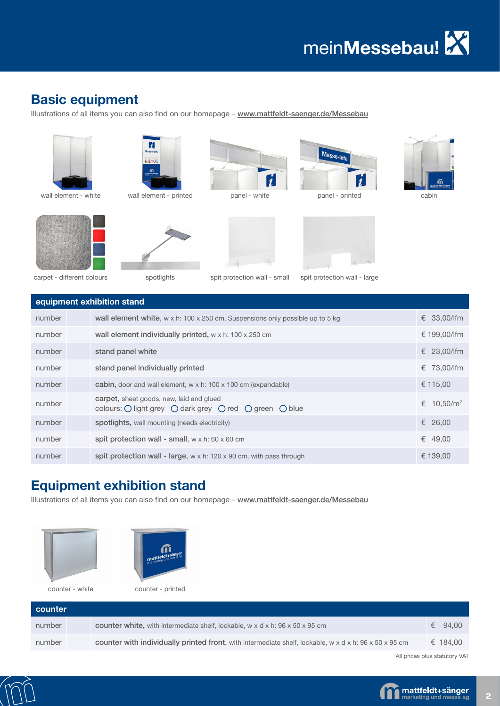#### **Basic equipment**

Illustrations of all items you can also find on our homepage - www.mattfeldt-saenger.de/Messebau













Messe-Info



spotlights

spit protection wall - small carpet - different colours spit protection wall - large

 $\mathbf{\hat{z}}$ 

|        | equipment exhibition stand                                                                         |                           |  |  |  |  |
|--------|----------------------------------------------------------------------------------------------------|---------------------------|--|--|--|--|
| number | wall element white, $w \times h$ : 100 $\times$ 250 cm, Suspensions only possible up to 5 kg       | € 33,00/lfm               |  |  |  |  |
| number | wall element individually printed, $w \times h$ : 100 $\times$ 250 cm                              | € 199,00/lfm              |  |  |  |  |
| number | stand panel white                                                                                  | € 23,00/lfm               |  |  |  |  |
| number | stand panel individually printed                                                                   | € 73.00/lfm               |  |  |  |  |
| number | cabin, door and wall element, $w \times h$ : 100 x 100 cm (expandable)                             | € 115,00                  |  |  |  |  |
| number | carpet, sheet goods, new, laid and glued<br>colours: O light grey O dark grey O red O green O blue | 10.50/m <sup>2</sup><br>€ |  |  |  |  |
| number | spotlights, wall mounting (needs electricity)                                                      | 26,00<br>€                |  |  |  |  |
| number | spit protection wall - small, $w \times h$ : 60 $\times$ 60 cm                                     | €<br>49,00                |  |  |  |  |
| number | spit protection wall - large, $w \times h$ : 120 $\times$ 90 cm, with pass through                 | € 139,00                  |  |  |  |  |

## **Equipment exhibition stand**

Illustrations of all items you can also find on our homepage - www.mattfeldt-saenger.de/Messebau







| counter |                                                                                                                                   |          |
|---------|-----------------------------------------------------------------------------------------------------------------------------------|----------|
| number  | <b>counter white, with intermediate shelf, lockable, w x d x h: 96 x 50 x 95 cm</b>                                               | € 94.00  |
| number  | counter with individually printed front, with intermediate shelf, lockable, $w \times d \times h$ : 96 $\times$ 50 $\times$ 95 cm | € 184.00 |

All prices plus statutory VAT



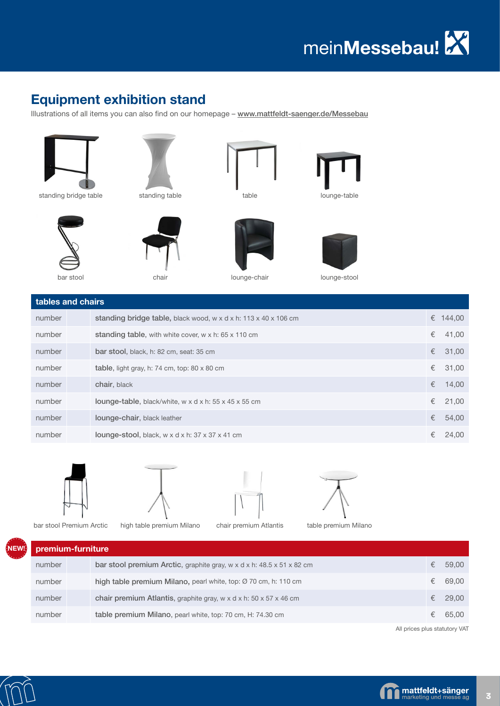# **Equipment exhibition stand**

Illustrations of all items you can also find on our homepage - www.mattfeldt-saenger.de/Messebau



standing table

chair



table







lounge-table

lounge-stool

bar stool

| tables and chairs |                                                                                            |   |          |
|-------------------|--------------------------------------------------------------------------------------------|---|----------|
| number            | standing bridge table, black wood, $w \times d \times h$ : 113 $\times$ 40 $\times$ 106 cm |   | € 144,00 |
| number            | standing table, with white cover, $w \times h$ : 65 $\times$ 110 cm                        | € | 41,00    |
| number            | bar stool, black, h: 82 cm, seat: 35 cm                                                    | € | 31,00    |
| number            | table, light gray, h: 74 cm, top: $80 \times 80$ cm                                        |   | € 31,00  |
| number            | chair, black                                                                               | € | 14,00    |
| number            | <b>lounge-table</b> , black/white, w x d x h: $55 \times 45 \times 55$ cm                  |   | € 21,00  |
| number            | lounge-chair, black leather                                                                | € | 54,00    |
| number            | <b>lounge-stool</b> , black, $w \times d \times h$ : 37 $\times$ 37 $\times$ 41 cm         | € | 24.00    |









bar stool Premium Arctic high table premium Milano chair premium Atlantis table premium Milano

| premium-furniture |  |                                                                                              |   |       |  |
|-------------------|--|----------------------------------------------------------------------------------------------|---|-------|--|
| number            |  | bar stool premium Arctic, graphite gray, w x d x h: $48.5 \times 51 \times 82$ cm            | € | 59,00 |  |
| number            |  | high table premium Milano, pearl white, top: Ø 70 cm, h: 110 cm                              | € | 69,00 |  |
| number            |  | chair premium Atlantis, graphite gray, $w \times d \times h$ : 50 $\times$ 57 $\times$ 46 cm | € | 29.00 |  |
| number            |  | table premium Milano, pearl white, top: 70 cm, H: 74.30 cm                                   |   | 65.00 |  |

All prices plus statutory VAT



**NEW!**

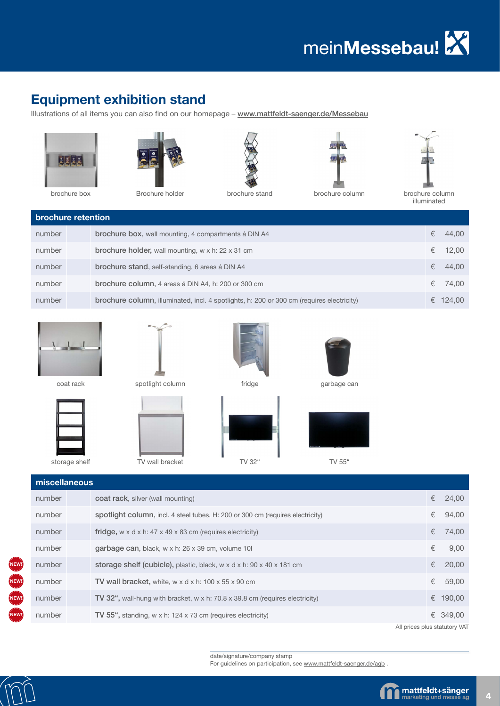#### **Equipment exhibition stand**

Illustrations of all items you can also find on our homepage - www.mattfeldt-saenger.de/Messebau









brochure box brochure holder brochure stand brochure column brochure column brochure column



illuminated

| brochure retention |  |                                                                                           |   |          |  |
|--------------------|--|-------------------------------------------------------------------------------------------|---|----------|--|
| number             |  | <b>brochure box, wall mounting, 4 compartments a DIN A4</b>                               | € | 44,00    |  |
| number             |  | brochure holder, wall mounting, w x h: 22 x 31 cm                                         | € | 12,00    |  |
| number             |  | brochure stand, self-standing, 6 areas á DIN A4                                           | € | 44,00    |  |
| number             |  | brochure column, 4 areas á DIN A4, h: 200 or 300 cm                                       | € | 74,00    |  |
| number             |  | brochure column, illuminated, incl. 4 spotlights, h: 200 or 300 cm (requires electricity) |   | € 124.00 |  |









storage shelf TV wall bracket TV 32" TV 55"

| miscellaneous |                                                                                                 |   |          |
|---------------|-------------------------------------------------------------------------------------------------|---|----------|
| number        | coat rack, silver (wall mounting)                                                               | € | 24,00    |
| number        | spotlight column, incl. 4 steel tubes, H: 200 or 300 cm (requires electricity)                  | € | 94,00    |
| number        | fridge, $w \times d \times h$ : 47 $\times$ 49 $\times$ 83 cm (requires electricity)            | € | 74,00    |
| number        | garbage can, black, w x h: 26 x 39 cm, volume 10                                                | € | 9,00     |
| number        | storage shelf (cubicle), plastic, black, $w \times d \times h$ : 90 $\times$ 40 $\times$ 181 cm | € | 20,00    |
| number        | TV wall bracket, white, $w \times d \times h$ : 100 $\times$ 55 $\times$ 90 cm                  | € | 59,00    |
| number        | <b>TV 32",</b> wall-hung with bracket, w x h: 70.8 x 39.8 cm (requires electricity)             | € | 190,00   |
| number        | TV 55", standing, w x h: 124 x 73 cm (requires electricity)                                     |   | € 349,00 |

All prices plus statutory VAT

date/signature/company stamp

For guidelines on participation, see www.mattfeldt-saenger.de/agb .



**NEW!**

**NEW!**

**NEW!**

**NEW!**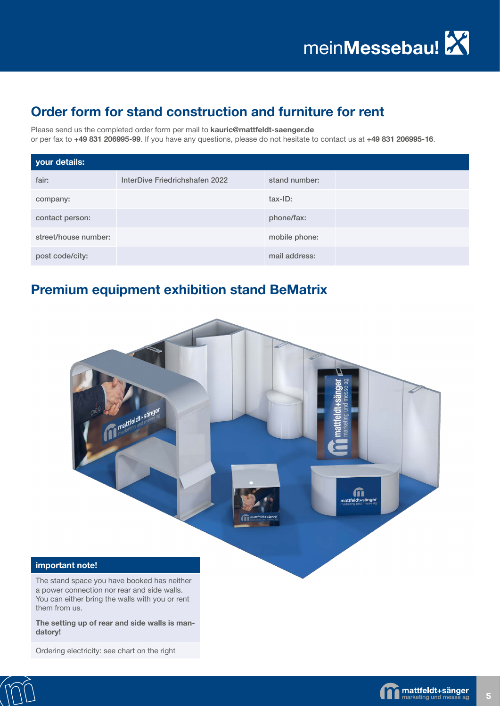## **Order form for stand construction and furniture for rent**

Please send us the completed order form per mail to **kauric@mattfeldt-saenger.de**

or per fax to **+49 831 206995-99**. If you have any questions, please do not hesitate to contact us at **+49 831 206995-16**.

| your details:        |                                |               |  |
|----------------------|--------------------------------|---------------|--|
| fair:                | InterDive Friedrichshafen 2022 | stand number: |  |
| company:             |                                | tax-ID:       |  |
| contact person:      |                                | phone/fax:    |  |
| street/house number: |                                | mobile phone: |  |
| post code/city:      |                                | mail address: |  |

#### **Premium equipment exhibition stand BeMatrix**



#### **important note!**

The stand space you have booked has neither a power connection nor rear and side walls. You can either bring the walls with you or rent them from us.

**The setting up of rear and side walls is mandatory!**

Ordering electricity: see chart on the right



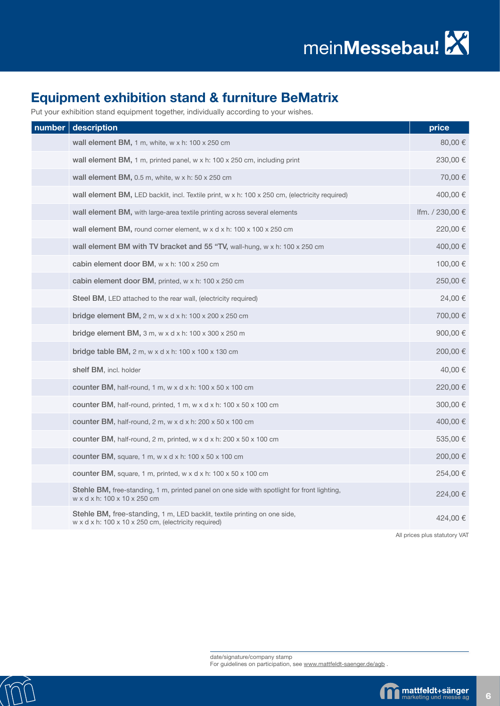# **Equipment exhibition stand & furniture BeMatrix**

Put your exhibition stand equipment together, individually according to your wishes.

| number | description                                                                                                                                   | price           |
|--------|-----------------------------------------------------------------------------------------------------------------------------------------------|-----------------|
|        | wall element BM, 1 m, white, $w \times h$ : 100 $\times$ 250 cm                                                                               | 80,00€          |
|        | wall element BM, 1 m, printed panel, w x h: 100 x 250 cm, including print                                                                     | 230,00 €        |
|        | wall element BM, $0.5$ m, white, w x h: $50$ x $250$ cm                                                                                       | 70,00 €         |
|        | wall element BM, LED backlit, incl. Textile print, w x h: 100 x 250 cm, (electricity required)                                                | 400,00 €        |
|        | wall element BM, with large-area textile printing across several elements                                                                     | Ifm. / 230,00 € |
|        | wall element BM, round corner element, $w \times d \times h$ : 100 $\times$ 100 $\times$ 250 cm                                               | 220,00 €        |
|        | wall element BM with TV bracket and 55 "TV, wall-hung, w x h: 100 x 250 cm                                                                    | 400,00 €        |
|        | cabin element door BM, w x h: 100 x 250 cm                                                                                                    | 100,00 €        |
|        | cabin element door BM, printed, w x h: 100 x 250 cm                                                                                           | 250,00 €        |
|        | Steel BM, LED attached to the rear wall, (electricity required)                                                                               | 24,00 €         |
|        | bridge element BM, 2 m, w x d x h: 100 x 200 x 250 cm                                                                                         | 700,00 €        |
|        | bridge element BM, 3 m, w x d x h: 100 x 300 x 250 m                                                                                          | 900,00 €        |
|        | bridge table BM, 2 m, w x d x h: 100 x 100 x 130 cm                                                                                           | 200,00€         |
|        | shelf BM, incl. holder                                                                                                                        | 40,00 €         |
|        | counter BM, half-round, 1 m, w x d x h: $100 \times 50 \times 100$ cm                                                                         | 220,00 €        |
|        | counter BM, half-round, printed, 1 m, w x d x h: $100 \times 50 \times 100$ cm                                                                | 300,00 €        |
|        | counter BM, half-round, $2 \text{ m}$ , w x d x h: $200 \times 50 \times 100 \text{ cm}$                                                      | 400,00 €        |
|        | counter BM, half-round, 2 m, printed, $w \times d \times h$ : 200 $\times$ 50 $\times$ 100 cm                                                 | 535,00 €        |
|        | counter BM, square, 1 m, w x d x h: 100 x 50 x 100 cm                                                                                         | 200,00 €        |
|        | counter BM, square, 1 m, printed, w x d x h: 100 x 50 x 100 cm                                                                                | 254,00 €        |
|        | <b>Stehle BM, free-standing, 1 m, printed panel on one side with spotlight for front lighting,</b><br>w x d x h: 100 x 10 x 250 cm            | 224,00€         |
|        | Stehle BM, free-standing, 1 m, LED backlit, textile printing on one side,<br>w x d x h: $100 \times 10 \times 250$ cm, (electricity required) | 424,00 €        |

All prices plus statutory VAT

For guidelines on participation, see www.mattfeldt-saenger.de/agb . date/signature/company stamp